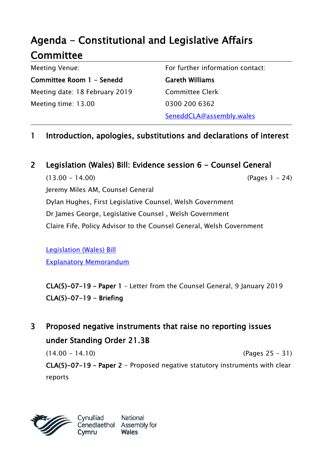# Agenda - Constitutional and Legislative Affairs **Committee**

Meeting Venue: Committee Room 1 - Senedd Meeting date: 18 February 2019 Meeting time: 13.00

For further information contact:

Gareth Williams Committee Clerk 0300 200 6362 SeneddCLA@assembly.wales

### 1 Introduction, apologies, substitutions and declarations of interest

2 Legislation (Wales) Bill: Evidence session 6 - Counsel General

 $(13.00 - 14.00)$  (Pages 1 - 24) Jeremy Miles AM, Counsel General Dylan Hughes, First Legislative Counsel, Welsh Government Dr James George, Legislative Counsel , Welsh Government Claire Fife, Policy Advisor to the Counsel General, Welsh Government

[Legislation \(Wales\) Bill](http://www.assembly.wales/laid%20documents/pri-ld11927/pri-ld11927-e.pdf) [Explanatory Memorandum](http://www.assembly.wales/laid%20documents/pri-ld11927-em/pri-ld11927-em-e.pdf)

CLA(5)-07-19 – Paper 1 – Letter from the Counsel General, 9 January 2019  $CLA(5)-07-19 - Briefing$ 

3 Proposed negative instruments that raise no reporting issues under Standing Order 21.3B

 $(14.00 - 14.10)$  (Pages 25 - 31) CLA(5)-07-19 – Paper 2 - Proposed negative statutory instruments with clear reports



National **Wales**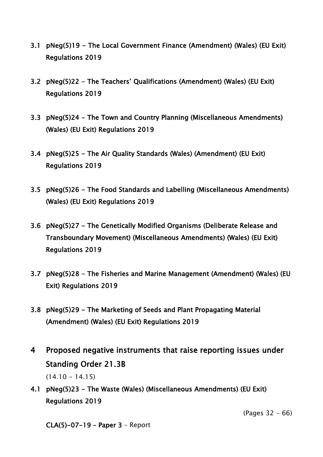- 3.1 pNeg(5)19 The Local Government Finance (Amendment) (Wales) (EU Exit) Regulations 2019
- 3.2 pNeg(5)22 The Teachers' Qualifications (Amendment) (Wales) (EU Exit) Regulations 2019
- 3.3 pNeg(5)24 The Town and Country Planning (Miscellaneous Amendments) (Wales) (EU Exit) Regulations 2019
- 3.4 pNeg(5)25 The Air Quality Standards (Wales) (Amendment) (EU Exit) Regulations 2019
- 3.5 pNeg(5)26 The Food Standards and Labelling (Miscellaneous Amendments) (Wales) (EU Exit) Regulations 2019
- 3.6 pNeg(5)27 The Genetically Modified Organisms (Deliberate Release and Transboundary Movement) (Miscellaneous Amendments) (Wales) (EU Exit) Regulations 2019
- 3.7 pNeg(5)28 The Fisheries and Marine Management (Amendment) (Wales) (EU Exit) Regulations 2019
- 3.8 pNeg(5)29 The Marketing of Seeds and Plant Propagating Material (Amendment) (Wales) (EU Exit) Regulations 2019
- 4 Proposed negative instruments that raise reporting issues under Standing Order 21.3B  $(14.10 - 14.15)$
- 4.1 pNeg(5)23 The Waste (Wales) (Miscellaneous Amendments) (EU Exit) Regulations 2019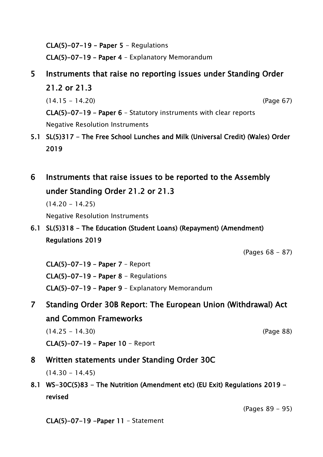CLA(5)-07-19 - Paper  $5$  - Regulations CLA(5)-07-19 – Paper 4 – Explanatory Memorandum

# 5 Instruments that raise no reporting issues under Standing Order 21.2 or 21.3

(14.15 - 14.20) (Page 67)

CLA(5)-07-19 – Paper 6 – Statutory instruments with clear reports Negative Resolution Instruments

- 5.1 SL(5)317 The Free School Lunches and Milk (Universal Credit) (Wales) Order 2019
- 6 Instruments that raise issues to be reported to the Assembly under Standing Order 21.2 or 21.3

 $(14.20 - 14.25)$ 

Negative Resolution Instruments

### 6.1 SL(5)318 - The Education (Student Loans) (Repayment) (Amendment) Regulations 2019

(Pages 68 - 87)

CLA(5)-07-19 – Paper 7 – Report CLA(5)-07-19 - Paper 8 - Regulations CLA(5)-07-19 – Paper 9 – Explanatory Memorandum

# 7 Standing Order 30B Report: The European Union (Withdrawal) Act and Common Frameworks

(14.25 - 14.30) (Page 88)

CLA(5)-07-19 – Paper 10 - Report

### 8 Written statements under Standing Order 30C

 $(14.30 - 14.45)$ 

8.1 WS-30C(5)83 - The Nutrition (Amendment etc) (EU Exit) Regulations 2019 revised

(Pages 89 - 95)

CLA(5)-07-19 -Paper 11 – Statement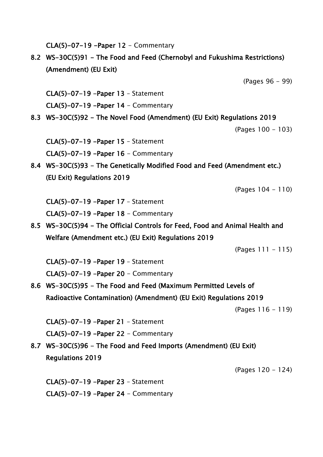CLA(5)-07-19 -Paper  $12$  - Commentary

8.2 WS-30C(5)91 - The Food and Feed (Chernobyl and Fukushima Restrictions) (Amendment) (EU Exit)

(Pages 96 - 99)

CLA(5)-07-19 -Paper 13 – Statement CLA(5)-07-19 -Paper 14 - Commentary

8.3 WS-30C(5)92 - The Novel Food (Amendment) (EU Exit) Regulations 2019

(Pages 100 - 103)

CLA(5)-07-19 -Paper 15 – Statement CLA(5)-07-19 -Paper 16 - Commentary

8.4 WS-30C(5)93 - The Genetically Modified Food and Feed (Amendment etc.) (EU Exit) Regulations 2019

(Pages 104 - 110)

CLA(5)-07-19 -Paper 17 – Statement

CLA(5)-07-19 -Paper  $18$  - Commentary

8.5 WS-30C(5)94 - The Official Controls for Feed, Food and Animal Health and Welfare (Amendment etc.) (EU Exit) Regulations 2019

 $(Paqes 111 - 115)$ 

CLA(5)-07-19 -Paper 19 – Statement CLA(5)-07-19 -Paper 20 - Commentary

8.6 WS-30C(5)95 - The Food and Feed (Maximum Permitted Levels of Radioactive Contamination) (Amendment) (EU Exit) Regulations 2019

(Pages 116 - 119)

CLA(5)-07-19 -Paper 21 – Statement

CLA(5)-07-19 -Paper 22 - Commentary

8.7 WS-30C(5)96 - The Food and Feed Imports (Amendment) (EU Exit) Regulations 2019

(Pages 120 - 124)

CLA(5)-07-19 -Paper 23 – Statement CLA(5)-07-19 -Paper 24 - Commentary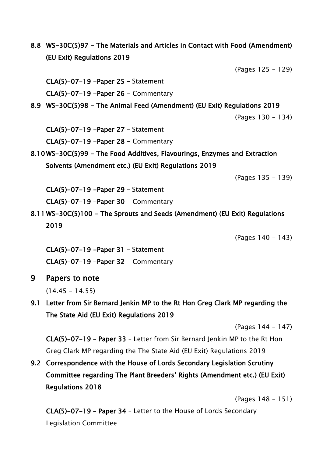8.8 WS-30C(5)97 - The Materials and Articles in Contact with Food (Amendment) (EU Exit) Regulations 2019

(Pages 125 - 129)

CLA(5)-07-19 -Paper 25 – Statement

CLA(5)-07-19 -Paper 26 - Commentary

8.9 WS-30C(5)98 - The Animal Feed (Amendment) (EU Exit) Regulations 2019

(Pages 130 - 134)

CLA(5)-07-19 -Paper 27 – Statement

CLA(5)-07-19 -Paper 28 - Commentary

8.10 WS-30C(5)99 - The Food Additives, Flavourings, Enzymes and Extraction Solvents (Amendment etc.) (EU Exit) Regulations 2019

(Pages 135 - 139)

CLA(5)-07-19 -Paper 29 – Statement

 $CLA(5)-07-19$  -Paper 30 - Commentary

8.11 WS-30C(5)100 - The Sprouts and Seeds (Amendment) (EU Exit) Regulations 2019

(Pages 140 - 143)

CLA(5)-07-19 -Paper 31 – Statement CLA(5)-07-19 -Paper 32 - Commentary

9 Papers to note

 $(14.45 - 14.55)$ 

9.1 Letter from Sir Bernard Jenkin MP to the Rt Hon Greg Clark MP regarding the The State Aid (EU Exit) Regulations 2019

(Pages 144 - 147)

CLA(5)-07-19 – Paper 33 – Letter from Sir Bernard Jenkin MP to the Rt Hon Greg Clark MP regarding the The State Aid (EU Exit) Regulations 2019

9.2 Correspondence with the House of Lords Secondary Legislation Scrutiny Committee regarding The Plant Breeders' Rights (Amendment etc.) (EU Exit) Regulations 2018

(Pages 148 - 151)

CLA(5)-07-19 – Paper 34 – Letter to the House of Lords Secondary Legislation Committee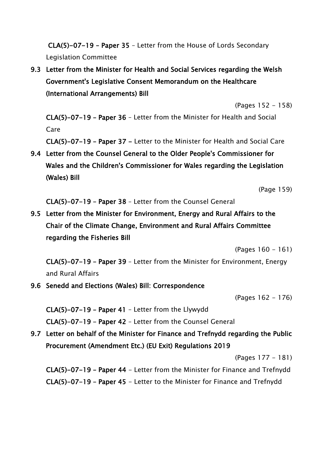CLA(5)-07-19 – Paper 35 – Letter from the House of Lords Secondary Legislation Committee

## 9.3 Letter from the Minister for Health and Social Services regarding the Welsh Government's Legislative Consent Memorandum on the Healthcare (International Arrangements) Bill

(Pages 152 - 158)

CLA(5)-07-19 – Paper 36 – Letter from the Minister for Health and Social Care

CLA(5)-07-19 – Paper 37 - Letter to the Minister for Health and Social Care

9.4 Letter from the Counsel General to the Older People's Commissioner for Wales and the Children's Commissioner for Wales regarding the Legislation (Wales) Bill

(Page 159)

CLA(5)-07-19 – Paper 38 – Letter from the Counsel General

9.5 Letter from the Minister for Environment, Energy and Rural Affairs to the Chair of the Climate Change, Environment and Rural Affairs Committee regarding the Fisheries Bill

(Pages 160 - 161)

CLA(5)-07-19 – Paper 39 – Letter from the Minister for Environment, Energy and Rural Affairs

9.6 Senedd and Elections (Wales) Bill: Correspondence

(Pages 162 - 176)

CLA(5)-07-19 – Paper 41 – Letter from the Llywydd CLA(5)-07-19 – Paper 42 – Letter from the Counsel General

9.7 Letter on behalf of the Minister for Finance and Trefnydd regarding the Public Procurement (Amendment Etc.) (EU Exit) Regulations 2019

(Pages 177 - 181)

CLA(5)-07-19 – Paper 44 - Letter from the Minister for Finance and Trefnydd CLA(5)-07-19 – Paper 45 - Letter to the Minister for Finance and Trefnydd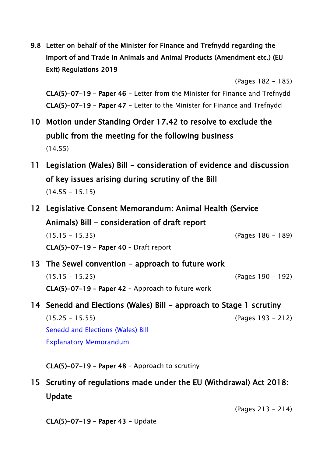9.8 Letter on behalf of the Minister for Finance and Trefnydd regarding the Import of and Trade in Animals and Animal Products (Amendment etc.) (EU Exit) Regulations 2019

(Pages 182 - 185)

CLA(5)-07-19 – Paper 46 - Letter from the Minister for Finance and Trefnydd CLA(5)-07-19 – Paper 47 - Letter to the Minister for Finance and Trefnydd

- 10 Motion under Standing Order 17.42 to resolve to exclude the public from the meeting for the following business (14.55)
- 11 Legislation (Wales) Bill consideration of evidence and discussion of key issues arising during scrutiny of the Bill  $(14.55 - 15.15)$
- 12 Legislative Consent Memorandum: Animal Health (Service Animals) Bill - consideration of draft report (15.15 - 15.35) (Pages 186 - 189) CLA(5)-07-19 – Paper 40 – Draft report
- 13 The Sewel convention approach to future work (15.15 - 15.25) (Pages 190 - 192) CLA(5)-07-19 – Paper 42 – Approach to future work
- 14 Senedd and Elections (Wales) Bill approach to Stage 1 scrutiny

(15.25 - 15.55) (Pages 193 - 212) [Senedd and Elections \(Wales\) Bill](http://www.assembly.wales/laid%20documents/pri-ld12142/pri-ld12142-e.pdf) [Explanatory Memorandum](http://www.assembly.wales/laid%20documents/pri-ld12142-em/pri-ld12142-em-e.pdf)

CLA(5)-07-19 – Paper 48 – Approach to scrutiny

# 15 Scrutiny of regulations made under the EU (Withdrawal) Act 2018: Update

(Pages 213 - 214)